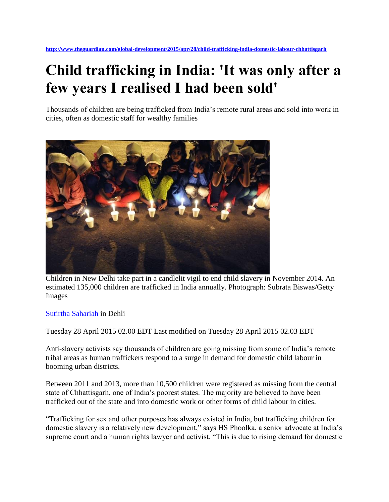**<http://www.theguardian.com/global-development/2015/apr/28/child-trafficking-india-domestic-labour-chhattisgarh>**

## **Child trafficking in India: 'It was only after a few years I realised I had been sold'**

Thousands of children are being trafficked from India's remote rural areas and sold into work in cities, often as domestic staff for wealthy families



Children in New Delhi take part in a candlelit vigil to end child slavery in November 2014. An estimated 135,000 children are trafficked in India annually. Photograph: Subrata Biswas/Getty Images

[Sutirtha Sahariah](http://www.theguardian.com/profile/sutirtha-sahariah) in Dehli

Tuesday 28 April 2015 02.00 EDT Last modified on Tuesday 28 April 2015 02.03 EDT

Anti-slavery activists say thousands of children are going missing from some of India's remote tribal areas as human traffickers respond to a surge in demand for domestic child labour in booming urban districts.

Between 2011 and 2013, more than 10,500 children were registered as missing from the central state of Chhattisgarh, one of India's poorest states. The majority are believed to have been trafficked out of the state and into domestic work or other forms of child labour in cities.

"Trafficking for sex and other purposes has always existed in India, but trafficking children for domestic slavery is a relatively new development," says HS Phoolka, a senior advocate at India's supreme court and a human rights lawyer and activist. "This is due to rising demand for domestic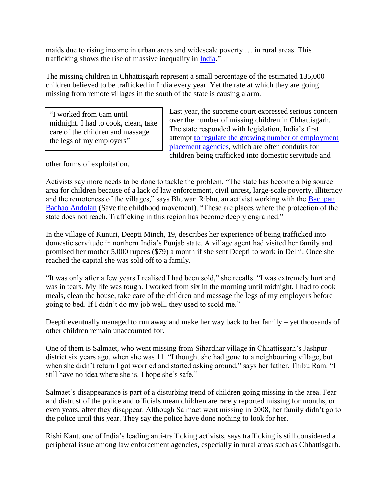maids due to rising income in urban areas and widescale poverty … in rural areas. This trafficking shows the rise of massive inequality in [India.](http://www.theguardian.com/world/india)"

The missing children in Chhattisgarh represent a small percentage of the estimated 135,000 children believed to be trafficked in India every year. Yet the rate at which they are going missing from remote villages in the south of the state is causing alarm.

"I worked from 6am until midnight. I had to cook, clean, take care of the children and massage the legs of my employers"

Last year, the supreme court expressed serious concern over the number of missing children in Chhattisgarh. The state responded with legislation, India's first attempt to regulate the [growing number of employment](http://timesofindia.indiatimes.com/india/Human-trafficking-Chhattisgarh-first-state-to-implement-placement-agency-act/articleshow/39637562.cms)  [placement agencies,](http://timesofindia.indiatimes.com/india/Human-trafficking-Chhattisgarh-first-state-to-implement-placement-agency-act/articleshow/39637562.cms) which are often conduits for children being trafficked into domestic servitude and

other forms of exploitation.

Activists say more needs to be done to tackle the problem. "The state has become a big source area for children because of a lack of law enforcement, civil unrest, large-scale poverty, illiteracy and the remoteness of the villages," says Bhuwan Ribhu, an activist working with the [Bachpan](http://www.bba.org.in/)  [Bachao Andolan](http://www.bba.org.in/) (Save the childhood movement). "These are places where the protection of the state does not reach. Trafficking in this region has become deeply engrained."

In the village of Kunuri, Deepti Minch, 19, describes her experience of being trafficked into domestic servitude in northern India's Punjab state. A village agent had visited her family and promised her mother 5,000 rupees (\$79) a month if she sent Deepti to work in Delhi. Once she reached the capital she was sold off to a family.

"It was only after a few years I realised I had been sold," she recalls. "I was extremely hurt and was in tears. My life was tough. I worked from six in the morning until midnight. I had to cook meals, clean the house, take care of the children and massage the legs of my employers before going to bed. If I didn't do my job well, they used to scold me."

Deepti eventually managed to run away and make her way back to her family – yet thousands of other children remain unaccounted for.

One of them is Salmaet, who went missing from Sihardhar village in Chhattisgarh's Jashpur district six years ago, when she was 11. "I thought she had gone to a neighbouring village, but when she didn't return I got worried and started asking around," says her father, Thibu Ram. "I still have no idea where she is. I hope she's safe."

Salmaet's disappearance is part of a disturbing trend of children going missing in the area. Fear and distrust of the police and officials mean children are rarely reported missing for months, or even years, after they disappear. Although Salmaet went missing in 2008, her family didn't go to the police until this year. They say the police have done nothing to look for her.

Rishi Kant, one of India's leading anti-trafficking activists, says trafficking is still considered a peripheral issue among law enforcement agencies, especially in rural areas such as Chhattisgarh.